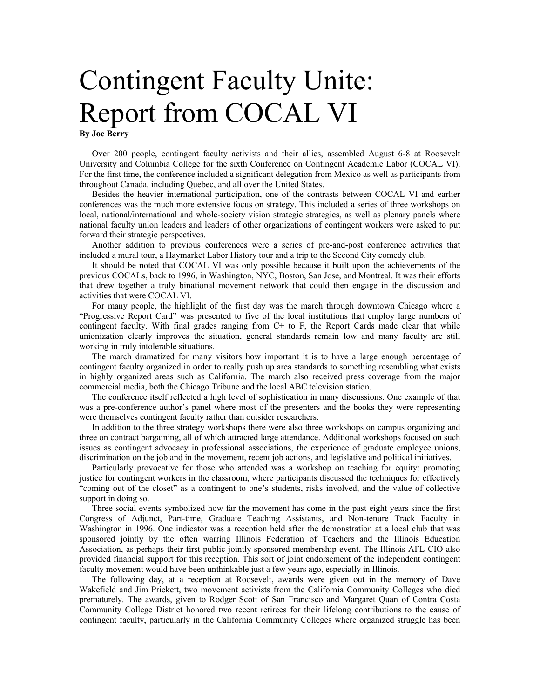## Contingent Faculty Unite: Report from COCAL VI

**By Joe Berry** 

Over 200 people, contingent faculty activists and their allies, assembled August 6-8 at Roosevelt University and Columbia College for the sixth Conference on Contingent Academic Labor (COCAL VI). For the first time, the conference included a significant delegation from Mexico as well as participants from throughout Canada, including Quebec, and all over the United States.

Besides the heavier international participation, one of the contrasts between COCAL VI and earlier conferences was the much more extensive focus on strategy. This included a series of three workshops on local, national/international and whole-society vision strategic strategies, as well as plenary panels where national faculty union leaders and leaders of other organizations of contingent workers were asked to put forward their strategic perspectives.

Another addition to previous conferences were a series of pre-and-post conference activities that included a mural tour, a Haymarket Labor History tour and a trip to the Second City comedy club.

It should be noted that COCAL VI was only possible because it built upon the achievements of the previous COCALs, back to 1996, in Washington, NYC, Boston, San Jose, and Montreal. It was their efforts that drew together a truly binational movement network that could then engage in the discussion and activities that were COCAL VI.

For many people, the highlight of the first day was the march through downtown Chicago where a "Progressive Report Card" was presented to five of the local institutions that employ large numbers of contingent faculty. With final grades ranging from  $C<sup>+</sup>$  to F, the Report Cards made clear that while unionization clearly improves the situation, general standards remain low and many faculty are still working in truly intolerable situations.

The march dramatized for many visitors how important it is to have a large enough percentage of contingent faculty organized in order to really push up area standards to something resembling what exists in highly organized areas such as California. The march also received press coverage from the major commercial media, both the Chicago Tribune and the local ABC television station.

The conference itself reflected a high level of sophistication in many discussions. One example of that was a pre-conference author's panel where most of the presenters and the books they were representing were themselves contingent faculty rather than outsider researchers.

In addition to the three strategy workshops there were also three workshops on campus organizing and three on contract bargaining, all of which attracted large attendance. Additional workshops focused on such issues as contingent advocacy in professional associations, the experience of graduate employee unions, discrimination on the job and in the movement, recent job actions, and legislative and political initiatives.

Particularly provocative for those who attended was a workshop on teaching for equity: promoting justice for contingent workers in the classroom, where participants discussed the techniques for effectively "coming out of the closet" as a contingent to one's students, risks involved, and the value of collective support in doing so.

Three social events symbolized how far the movement has come in the past eight years since the first Congress of Adjunct, Part-time, Graduate Teaching Assistants, and Non-tenure Track Faculty in Washington in 1996. One indicator was a reception held after the demonstration at a local club that was sponsored jointly by the often warring Illinois Federation of Teachers and the Illinois Education Association, as perhaps their first public jointly-sponsored membership event. The Illinois AFL-CIO also provided financial support for this reception. This sort of joint endorsement of the independent contingent faculty movement would have been unthinkable just a few years ago, especially in Illinois.

The following day, at a reception at Roosevelt, awards were given out in the memory of Dave Wakefield and Jim Prickett, two movement activists from the California Community Colleges who died prematurely. The awards, given to Rodger Scott of San Francisco and Margaret Quan of Contra Costa Community College District honored two recent retirees for their lifelong contributions to the cause of contingent faculty, particularly in the California Community Colleges where organized struggle has been